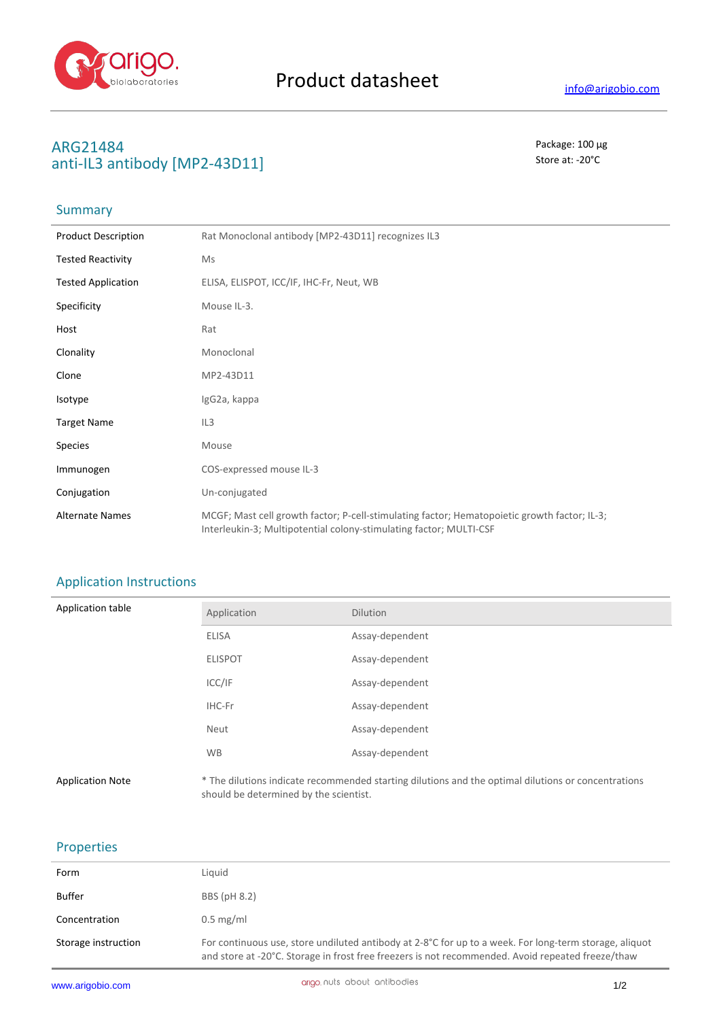

# **ARG21484** Package: 100 μg<br>
anti-II 3 antibody [MD2\_43D11] anti-IL3 antibody [MP2-43D11]

# Summary

| <b>Product Description</b> | Rat Monoclonal antibody [MP2-43D11] recognizes IL3                                                                                                                 |
|----------------------------|--------------------------------------------------------------------------------------------------------------------------------------------------------------------|
| <b>Tested Reactivity</b>   | Ms                                                                                                                                                                 |
| <b>Tested Application</b>  | ELISA, ELISPOT, ICC/IF, IHC-Fr, Neut, WB                                                                                                                           |
| Specificity                | Mouse IL-3.                                                                                                                                                        |
| Host                       | Rat                                                                                                                                                                |
| Clonality                  | Monoclonal                                                                                                                                                         |
| Clone                      | MP2-43D11                                                                                                                                                          |
| Isotype                    | IgG2a, kappa                                                                                                                                                       |
| <b>Target Name</b>         | IL <sub>3</sub>                                                                                                                                                    |
| Species                    | Mouse                                                                                                                                                              |
| Immunogen                  | COS-expressed mouse IL-3                                                                                                                                           |
| Conjugation                | Un-conjugated                                                                                                                                                      |
| <b>Alternate Names</b>     | MCGF; Mast cell growth factor; P-cell-stimulating factor; Hematopoietic growth factor; IL-3;<br>Interleukin-3; Multipotential colony-stimulating factor; MULTI-CSF |

## Application Instructions

| Application table       | Application                            | <b>Dilution</b>                                                                                     |
|-------------------------|----------------------------------------|-----------------------------------------------------------------------------------------------------|
|                         | <b>ELISA</b>                           | Assay-dependent                                                                                     |
|                         | <b>ELISPOT</b>                         | Assay-dependent                                                                                     |
|                         | ICC/IF                                 | Assay-dependent                                                                                     |
|                         | IHC-Fr                                 | Assay-dependent                                                                                     |
|                         | Neut                                   | Assay-dependent                                                                                     |
|                         | <b>WB</b>                              | Assay-dependent                                                                                     |
| <b>Application Note</b> | should be determined by the scientist. | * The dilutions indicate recommended starting dilutions and the optimal dilutions or concentrations |

#### Properties

| Form                | Liquid                                                                                                                                                                                                                 |
|---------------------|------------------------------------------------------------------------------------------------------------------------------------------------------------------------------------------------------------------------|
| <b>Buffer</b>       | BBS (pH 8.2)                                                                                                                                                                                                           |
| Concentration       | $0.5 \text{ mg/ml}$                                                                                                                                                                                                    |
| Storage instruction | For continuous use, store undiluted antibody at 2-8 $^{\circ}$ C for up to a week. For long-term storage, aliquot<br>and store at -20°C. Storage in frost free freezers is not recommended. Avoid repeated freeze/thaw |

J.